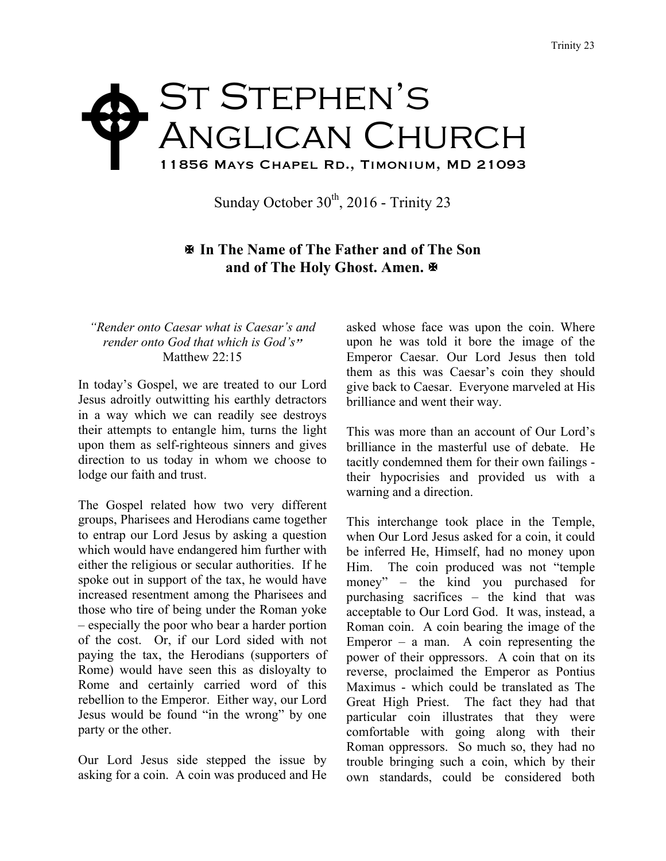## St Stephen's ANGLICAN CHURCH 11856 Mays Chapel Rd., Timonium, MD 21093 W

Sunday October  $30<sup>th</sup>$ , 2016 - Trinity 23

## X **In The Name of The Father and of The Son and of The Holy Ghost. Amen.**  $\mathbb{R}$

## *"Render onto Caesar what is Caesar's and render onto God that which is God's*" Matthew 22:15

In today's Gospel, we are treated to our Lord Jesus adroitly outwitting his earthly detractors in a way which we can readily see destroys their attempts to entangle him, turns the light upon them as self-righteous sinners and gives direction to us today in whom we choose to lodge our faith and trust.

The Gospel related how two very different groups, Pharisees and Herodians came together to entrap our Lord Jesus by asking a question which would have endangered him further with either the religious or secular authorities. If he spoke out in support of the tax, he would have increased resentment among the Pharisees and those who tire of being under the Roman yoke – especially the poor who bear a harder portion of the cost. Or, if our Lord sided with not paying the tax, the Herodians (supporters of Rome) would have seen this as disloyalty to Rome and certainly carried word of this rebellion to the Emperor. Either way, our Lord Jesus would be found "in the wrong" by one party or the other.

Our Lord Jesus side stepped the issue by asking for a coin. A coin was produced and He asked whose face was upon the coin. Where upon he was told it bore the image of the Emperor Caesar. Our Lord Jesus then told them as this was Caesar's coin they should give back to Caesar. Everyone marveled at His brilliance and went their way.

This was more than an account of Our Lord's brilliance in the masterful use of debate. He tacitly condemned them for their own failings their hypocrisies and provided us with a warning and a direction.

This interchange took place in the Temple, when Our Lord Jesus asked for a coin, it could be inferred He, Himself, had no money upon Him. The coin produced was not "temple money" – the kind you purchased for purchasing sacrifices – the kind that was acceptable to Our Lord God. It was, instead, a Roman coin. A coin bearing the image of the Emperor – a man. A coin representing the power of their oppressors. A coin that on its reverse, proclaimed the Emperor as Pontius Maximus - which could be translated as The Great High Priest. The fact they had that particular coin illustrates that they were comfortable with going along with their Roman oppressors. So much so, they had no trouble bringing such a coin, which by their own standards, could be considered both